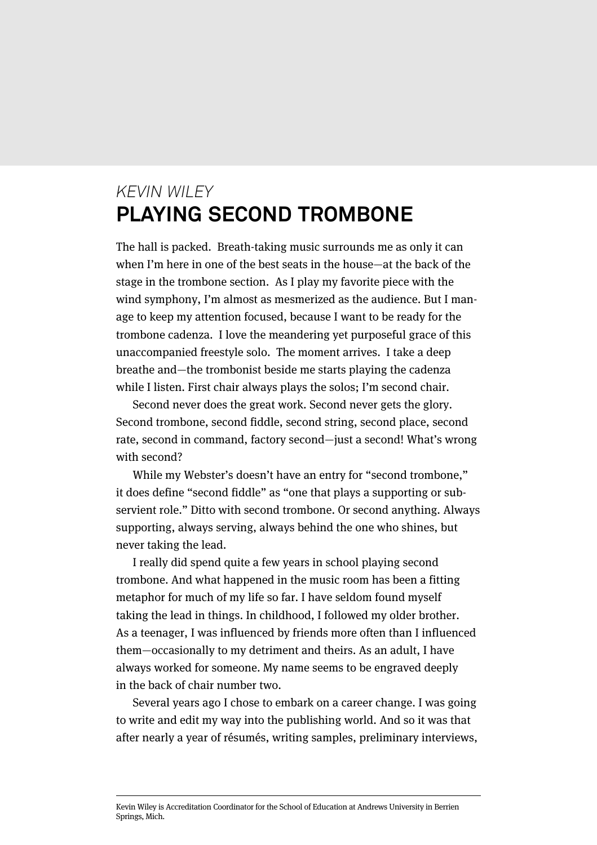## *KEVIN WILEY* **PLAYING SECOND TROMBONE**

The hall is packed. Breath-taking music surrounds me as only it can when I'm here in one of the best seats in the house—at the back of the stage in the trombone section. As I play my favorite piece with the wind symphony, I'm almost as mesmerized as the audience. But I manage to keep my attention focused, because I want to be ready for the trombone cadenza. I love the meandering yet purposeful grace of this unaccompanied freestyle solo. The moment arrives. I take a deep breathe and—the trombonist beside me starts playing the cadenza while I listen. First chair always plays the solos; I'm second chair.

Second never does the great work. Second never gets the glory. Second trombone, second fiddle, second string, second place, second rate, second in command, factory second—just a second! What's wrong with second?

While my Webster's doesn't have an entry for "second trombone," it does define "second fiddle" as "one that plays a supporting or subservient role." Ditto with second trombone. Or second anything. Always supporting, always serving, always behind the one who shines, but never taking the lead.

I really did spend quite a few years in school playing second trombone. And what happened in the music room has been a fitting metaphor for much of my life so far. I have seldom found myself taking the lead in things. In childhood, I followed my older brother. As a teenager, I was influenced by friends more often than I influenced them—occasionally to my detriment and theirs. As an adult, I have always worked for someone. My name seems to be engraved deeply in the back of chair number two.

Several years ago I chose to embark on a career change. I was going to write and edit my way into the publishing world. And so it was that after nearly a year of résumés, writing samples, preliminary interviews,

Kevin Wiley is Accreditation Coordinator for the School of Education at Andrews University in Berrien Springs, Mich.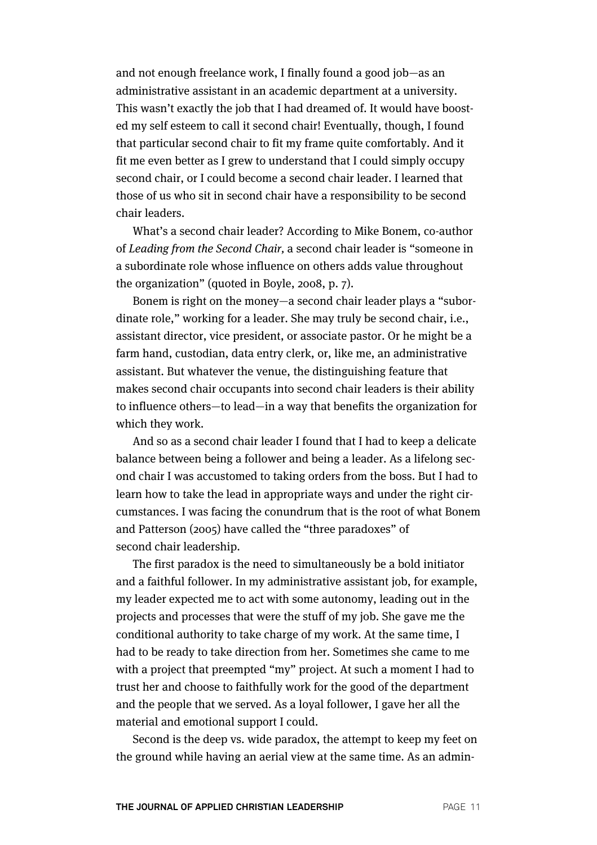and not enough freelance work, I finally found a good job—as an administrative assistant in an academic department at a university. This wasn't exactly the job that I had dreamed of. It would have boosted my self esteem to call it second chair! Eventually, though, I found that particular second chair to fit my frame quite comfortably. And it fit me even better as I grew to understand that I could simply occupy second chair, or I could become a second chair leader. I learned that those of us who sit in second chair have a responsibility to be second chair leaders.

What's a second chair leader? According to Mike Bonem, co-author of Leading from the Second Chair, a second chair leader is "someone in a subordinate role whose influence on others adds value throughout the organization" (quoted in Boyle, 2008, p. 7).

Bonem is right on the money—a second chair leader plays a "subordinate role," working for a leader. She may truly be second chair, i.e., assistant director, vice president, or associate pastor. Or he might be a farm hand, custodian, data entry clerk, or, like me, an administrative assistant. But whatever the venue, the distinguishing feature that makes second chair occupants into second chair leaders is their ability to influence others—to lead—in a way that benefits the organization for which they work.

And so as a second chair leader I found that I had to keep a delicate balance between being a follower and being a leader. As a lifelong second chair I was accustomed to taking orders from the boss. But I had to learn how to take the lead in appropriate ways and under the right circumstances. I was facing the conundrum that is the root of what Bonem and Patterson (2005) have called the "three paradoxes" of second chair leadership.

The first paradox is the need to simultaneously be a bold initiator and a faithful follower. In my administrative assistant job, for example, my leader expected me to act with some autonomy, leading out in the projects and processes that were the stuff of my job. She gave me the conditional authority to take charge of my work. At the same time, I had to be ready to take direction from her. Sometimes she came to me with a project that preempted "my" project. At such a moment I had to trust her and choose to faithfully work for the good of the department and the people that we served. As a loyal follower, I gave her all the material and emotional support I could.

Second is the deep vs. wide paradox, the attempt to keep my feet on the ground while having an aerial view at the same time. As an admin